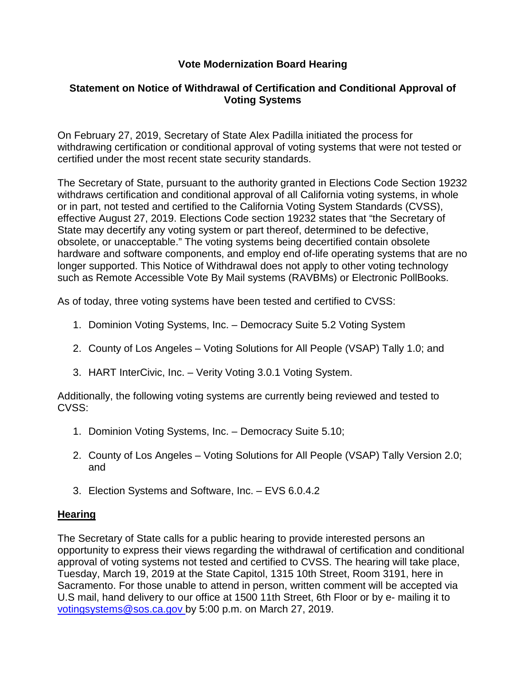## **Vote Modernization Board Hearing**

### **Statement on Notice of Withdrawal of Certification and Conditional Approval of Voting Systems**

On February 27, 2019, Secretary of State Alex Padilla initiated the process for withdrawing certification or conditional approval of voting systems that were not tested or certified under the most recent state security standards.

The Secretary of State, pursuant to the authority granted in Elections Code Section 19232 withdraws certification and conditional approval of all California voting systems, in whole or in part, not tested and certified to the California Voting System Standards (CVSS), effective August 27, 2019. Elections Code section 19232 states that "the Secretary of State may decertify any voting system or part thereof, determined to be defective, obsolete, or unacceptable." The voting systems being decertified contain obsolete hardware and software components, and employ end of-life operating systems that are no longer supported. This Notice of Withdrawal does not apply to other voting technology such as Remote Accessible Vote By Mail systems (RAVBMs) or Electronic PollBooks.

As of today, three voting systems have been tested and certified to CVSS:

- 1. Dominion Voting Systems, Inc. Democracy Suite 5.2 Voting System
- 2. County of Los Angeles Voting Solutions for All People (VSAP) Tally 1.0; and
- 3. HART InterCivic, Inc. Verity Voting 3.0.1 Voting System.

Additionally, the following voting systems are currently being reviewed and tested to CVSS:

- 1. Dominion Voting Systems, Inc. Democracy Suite 5.10;
- 2. County of Los Angeles Voting Solutions for All People (VSAP) Tally Version 2.0; and
- 3. Election Systems and Software, Inc. EVS 6.0.4.2

#### **Hearing**

The Secretary of State calls for a public hearing to provide interested persons an opportunity to express their views regarding the withdrawal of certification and conditional approval of voting systems not tested and certified to CVSS. The hearing will take place, Tuesday, March 19, 2019 at the State Capitol, 1315 10th Street, Room 3191, here in Sacramento. For those unable to attend in person, written comment will be accepted via U.S mail, hand delivery to our office at 1500 11th Street, 6th Floor or by e- mailing it to [votingsystems@sos.ca.gov b](mailto:votingsystems@sos.ca.gov)y 5:00 p.m. on March 27, 2019.